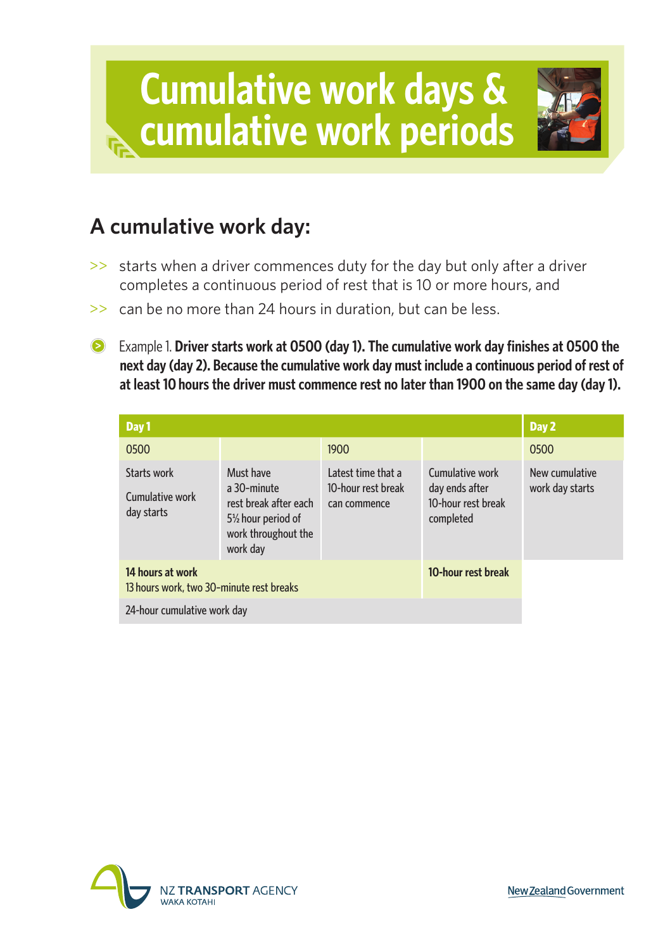

## **A cumulative work day:**

- $\geq$  starts when a driver commences duty for the day but only after a driver completes a continuous period of rest that is 10 or more hours, and
- $\geq$  can be no more than 24 hours in duration, but can be less.
- Example 1. **Driver starts work at 0500 (day 1). The cumulative work day finishes at 0500 the next day (day 2). Because the cumulative work day must include a continuous period of rest of at least 10 hours the driver must commence rest no later than 1900 on the same day (day 1).**

| Day 1                                                        | Day 2                                                                                                                   |                                                          |                                                                      |                                   |
|--------------------------------------------------------------|-------------------------------------------------------------------------------------------------------------------------|----------------------------------------------------------|----------------------------------------------------------------------|-----------------------------------|
| 0500                                                         |                                                                                                                         | 1900                                                     |                                                                      | 0500                              |
| Starts work<br>Cumulative work<br>day starts                 | Must have<br>a 30-minute<br>rest break after each<br>5 <sup>1/2</sup> hour period of<br>work throughout the<br>work day | Latest time that a<br>10-hour rest break<br>can commence | Cumulative work<br>day ends after<br>10-hour rest break<br>completed | New cumulative<br>work day starts |
| 14 hours at work<br>13 hours work, two 30-minute rest breaks |                                                                                                                         | 10-hour rest break                                       |                                                                      |                                   |
| 24-hour cumulative work day                                  |                                                                                                                         |                                                          |                                                                      |                                   |